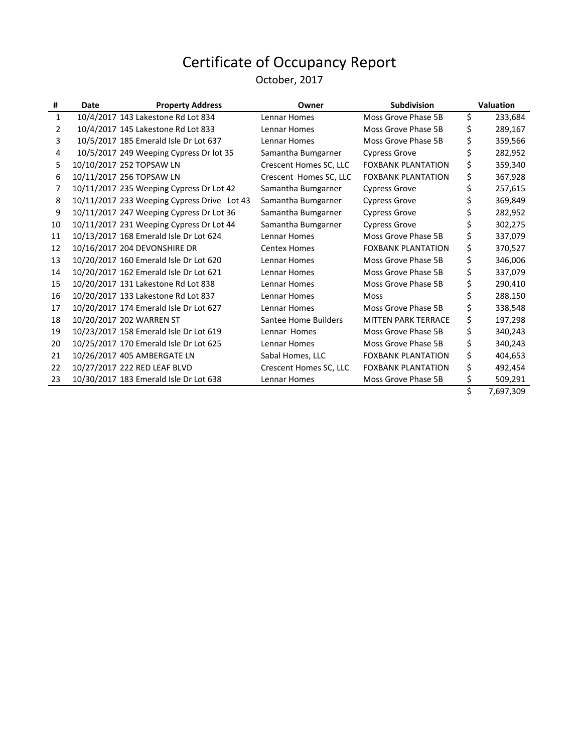#### October, 2017

| #            | Date | <b>Property Address</b>                     | Owner                  | <b>Subdivision</b>         |    | <b>Valuation</b> |
|--------------|------|---------------------------------------------|------------------------|----------------------------|----|------------------|
| $\mathbf{1}$ |      | 10/4/2017 143 Lakestone Rd Lot 834          | Lennar Homes           | Moss Grove Phase 5B        | \$ | 233,684          |
| 2            |      | 10/4/2017 145 Lakestone Rd Lot 833          | Lennar Homes           | Moss Grove Phase 5B        | \$ | 289,167          |
| 3            |      | 10/5/2017 185 Emerald Isle Dr Lot 637       | Lennar Homes           | Moss Grove Phase 5B        | \$ | 359,566          |
| 4            |      | 10/5/2017 249 Weeping Cypress Dr lot 35     | Samantha Bumgarner     | <b>Cypress Grove</b>       |    | 282,952          |
| 5            |      | 10/10/2017 252 TOPSAW LN                    | Crescent Homes SC, LLC | <b>FOXBANK PLANTATION</b>  | \$ | 359,340          |
| 6            |      | 10/11/2017 256 TOPSAW LN                    | Crescent Homes SC, LLC | <b>FOXBANK PLANTATION</b>  | \$ | 367,928          |
| 7            |      | 10/11/2017 235 Weeping Cypress Dr Lot 42    | Samantha Bumgarner     | <b>Cypress Grove</b>       | \$ | 257,615          |
| 8            |      | 10/11/2017 233 Weeping Cypress Drive Lot 43 | Samantha Bumgarner     | <b>Cypress Grove</b>       | \$ | 369,849          |
| 9            |      | 10/11/2017 247 Weeping Cypress Dr Lot 36    | Samantha Bumgarner     | <b>Cypress Grove</b>       | \$ | 282,952          |
| 10           |      | 10/11/2017 231 Weeping Cypress Dr Lot 44    | Samantha Bumgarner     | <b>Cypress Grove</b>       | \$ | 302,275          |
| 11           |      | 10/13/2017 168 Emerald Isle Dr Lot 624      | Lennar Homes           | Moss Grove Phase 5B        | \$ | 337,079          |
| 12           |      | 10/16/2017 204 DEVONSHIRE DR                | <b>Centex Homes</b>    | <b>FOXBANK PLANTATION</b>  | Ś. | 370,527          |
| 13           |      | 10/20/2017 160 Emerald Isle Dr Lot 620      | Lennar Homes           | Moss Grove Phase 5B        | \$ | 346,006          |
| 14           |      | 10/20/2017 162 Emerald Isle Dr Lot 621      | Lennar Homes           | Moss Grove Phase 5B        | \$ | 337,079          |
| 15           |      | 10/20/2017 131 Lakestone Rd Lot 838         | Lennar Homes           | Moss Grove Phase 5B        |    | 290,410          |
| 16           |      | 10/20/2017 133 Lakestone Rd Lot 837         | Lennar Homes           | <b>Moss</b>                | \$ | 288,150          |
| 17           |      | 10/20/2017 174 Emerald Isle Dr Lot 627      | Lennar Homes           | Moss Grove Phase 5B        | \$ | 338,548          |
| 18           |      | 10/20/2017 202 WARREN ST                    | Santee Home Builders   | <b>MITTEN PARK TERRACE</b> | \$ | 197,298          |
| 19           |      | 10/23/2017 158 Emerald Isle Dr Lot 619      | Lennar Homes           | Moss Grove Phase 5B        | \$ | 340,243          |
| 20           |      | 10/25/2017 170 Emerald Isle Dr Lot 625      | Lennar Homes           | Moss Grove Phase 5B        | \$ | 340,243          |
| 21           |      | 10/26/2017 405 AMBERGATE LN                 | Sabal Homes, LLC       | <b>FOXBANK PLANTATION</b>  | \$ | 404,653          |
| 22           |      | 10/27/2017 222 RED LEAF BLVD                | Crescent Homes SC, LLC | <b>FOXBANK PLANTATION</b>  | \$ | 492,454          |
| 23           |      | 10/30/2017 183 Emerald Isle Dr Lot 638      | Lennar Homes           | Moss Grove Phase 5B        |    | 509,291          |
|              |      |                                             |                        |                            |    | 7.02.200         |

\$ 7,697,309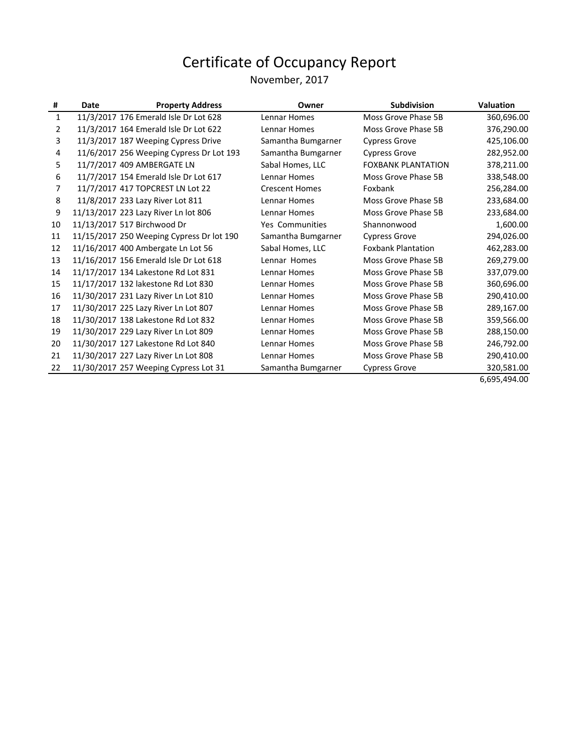#### November, 2017

| #  | Date | <b>Property Address</b>                   | Owner                 | <b>Subdivision</b>        | <b>Valuation</b> |
|----|------|-------------------------------------------|-----------------------|---------------------------|------------------|
| 1  |      | 11/3/2017 176 Emerald Isle Dr Lot 628     | Lennar Homes          | Moss Grove Phase 5B       | 360,696.00       |
| 2  |      | 11/3/2017 164 Emerald Isle Dr Lot 622     | Lennar Homes          | Moss Grove Phase 5B       | 376,290.00       |
| 3  |      | 11/3/2017 187 Weeping Cypress Drive       | Samantha Bumgarner    | <b>Cypress Grove</b>      | 425,106.00       |
| 4  |      | 11/6/2017 256 Weeping Cypress Dr Lot 193  | Samantha Bumgarner    | <b>Cypress Grove</b>      | 282,952.00       |
| 5. |      | 11/7/2017 409 AMBERGATE LN                | Sabal Homes, LLC      | <b>FOXBANK PLANTATION</b> | 378,211.00       |
| 6  |      | 11/7/2017 154 Emerald Isle Dr Lot 617     | Lennar Homes          | Moss Grove Phase 5B       | 338,548.00       |
| 7  |      | 11/7/2017 417 TOPCREST LN Lot 22          | <b>Crescent Homes</b> | Foxbank                   | 256,284.00       |
| 8  |      | 11/8/2017 233 Lazy River Lot 811          | Lennar Homes          | Moss Grove Phase 5B       | 233,684.00       |
| 9  |      | 11/13/2017 223 Lazy River Ln lot 806      | Lennar Homes          | Moss Grove Phase 5B       | 233,684.00       |
| 10 |      | 11/13/2017 517 Birchwood Dr               | Yes Communities       | Shannonwood               | 1,600.00         |
| 11 |      | 11/15/2017 250 Weeping Cypress Dr lot 190 | Samantha Bumgarner    | <b>Cypress Grove</b>      | 294,026.00       |
| 12 |      | 11/16/2017 400 Ambergate Ln Lot 56        | Sabal Homes, LLC      | <b>Foxbank Plantation</b> | 462,283.00       |
| 13 |      | 11/16/2017 156 Emerald Isle Dr Lot 618    | Lennar Homes          | Moss Grove Phase 5B       | 269,279.00       |
| 14 |      | 11/17/2017 134 Lakestone Rd Lot 831       | Lennar Homes          | Moss Grove Phase 5B       | 337,079.00       |
| 15 |      | 11/17/2017 132 lakestone Rd Lot 830       | Lennar Homes          | Moss Grove Phase 5B       | 360,696.00       |
| 16 |      | 11/30/2017 231 Lazy River Ln Lot 810      | Lennar Homes          | Moss Grove Phase 5B       | 290,410.00       |
| 17 |      | 11/30/2017 225 Lazy River Ln Lot 807      | Lennar Homes          | Moss Grove Phase 5B       | 289,167.00       |
| 18 |      | 11/30/2017 138 Lakestone Rd Lot 832       | Lennar Homes          | Moss Grove Phase 5B       | 359,566.00       |
| 19 |      | 11/30/2017 229 Lazy River Ln Lot 809      | Lennar Homes          | Moss Grove Phase 5B       | 288,150.00       |
| 20 |      | 11/30/2017 127 Lakestone Rd Lot 840       | Lennar Homes          | Moss Grove Phase 5B       | 246,792.00       |
| 21 |      | 11/30/2017 227 Lazy River Ln Lot 808      | Lennar Homes          | Moss Grove Phase 5B       | 290,410.00       |
| 22 |      | 11/30/2017 257 Weeping Cypress Lot 31     | Samantha Bumgarner    | <b>Cypress Grove</b>      | 320,581.00       |

6,695,494.00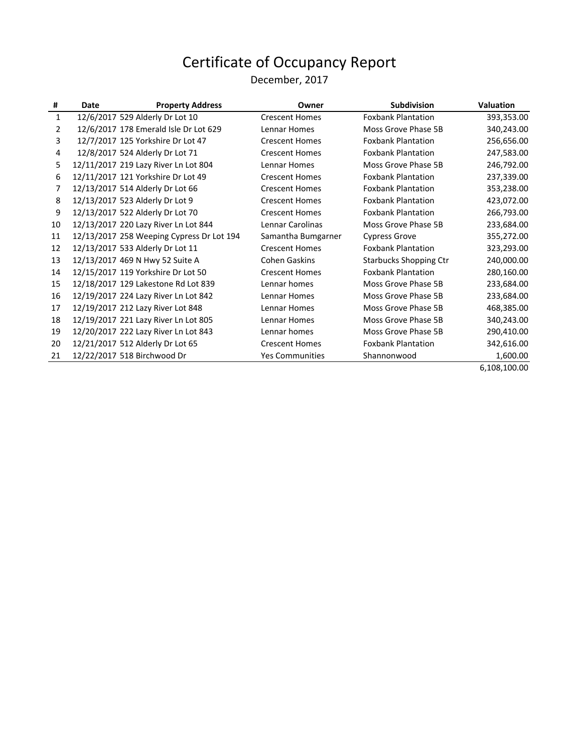#### December, 2017

| #  | Date | <b>Property Address</b>                   | Owner                  | <b>Subdivision</b>            | <b>Valuation</b> |
|----|------|-------------------------------------------|------------------------|-------------------------------|------------------|
| 1  |      | 12/6/2017 529 Alderly Dr Lot 10           | <b>Crescent Homes</b>  | <b>Foxbank Plantation</b>     | 393,353.00       |
| 2  |      | 12/6/2017 178 Emerald Isle Dr Lot 629     | Lennar Homes           | Moss Grove Phase 5B           | 340,243.00       |
| 3  |      | 12/7/2017 125 Yorkshire Dr Lot 47         | <b>Crescent Homes</b>  | <b>Foxbank Plantation</b>     | 256,656.00       |
| 4  |      | 12/8/2017 524 Alderly Dr Lot 71           | <b>Crescent Homes</b>  | <b>Foxbank Plantation</b>     | 247,583.00       |
| 5. |      | 12/11/2017 219 Lazy River Ln Lot 804      | Lennar Homes           | Moss Grove Phase 5B           | 246,792.00       |
| 6  |      | 12/11/2017 121 Yorkshire Dr Lot 49        | <b>Crescent Homes</b>  | <b>Foxbank Plantation</b>     | 237,339.00       |
| 7  |      | 12/13/2017 514 Alderly Dr Lot 66          | <b>Crescent Homes</b>  | <b>Foxbank Plantation</b>     | 353,238.00       |
| 8  |      | 12/13/2017 523 Alderly Dr Lot 9           | <b>Crescent Homes</b>  | <b>Foxbank Plantation</b>     | 423,072.00       |
| 9  |      | 12/13/2017 522 Alderly Dr Lot 70          | <b>Crescent Homes</b>  | <b>Foxbank Plantation</b>     | 266,793.00       |
| 10 |      | 12/13/2017 220 Lazy River Ln Lot 844      | Lennar Carolinas       | Moss Grove Phase 5B           | 233,684.00       |
| 11 |      | 12/13/2017 258 Weeping Cypress Dr Lot 194 | Samantha Bumgarner     | <b>Cypress Grove</b>          | 355,272.00       |
| 12 |      | 12/13/2017 533 Alderly Dr Lot 11          | <b>Crescent Homes</b>  | <b>Foxbank Plantation</b>     | 323,293.00       |
| 13 |      | 12/13/2017 469 N Hwy 52 Suite A           | <b>Cohen Gaskins</b>   | <b>Starbucks Shopping Ctr</b> | 240,000.00       |
| 14 |      | 12/15/2017 119 Yorkshire Dr Lot 50        | <b>Crescent Homes</b>  | <b>Foxbank Plantation</b>     | 280,160.00       |
| 15 |      | 12/18/2017 129 Lakestone Rd Lot 839       | Lennar homes           | Moss Grove Phase 5B           | 233,684.00       |
| 16 |      | 12/19/2017 224 Lazy River Ln Lot 842      | Lennar Homes           | Moss Grove Phase 5B           | 233,684.00       |
| 17 |      | 12/19/2017 212 Lazy River Lot 848         | Lennar Homes           | Moss Grove Phase 5B           | 468,385.00       |
| 18 |      | 12/19/2017 221 Lazy River Ln Lot 805      | Lennar Homes           | Moss Grove Phase 5B           | 340,243.00       |
| 19 |      | 12/20/2017 222 Lazy River Ln Lot 843      | Lennar homes           | Moss Grove Phase 5B           | 290,410.00       |
| 20 |      | 12/21/2017 512 Alderly Dr Lot 65          | <b>Crescent Homes</b>  | <b>Foxbank Plantation</b>     | 342,616.00       |
| 21 |      | 12/22/2017 518 Birchwood Dr               | <b>Yes Communities</b> | Shannonwood                   | 1,600.00         |

6,108,100.00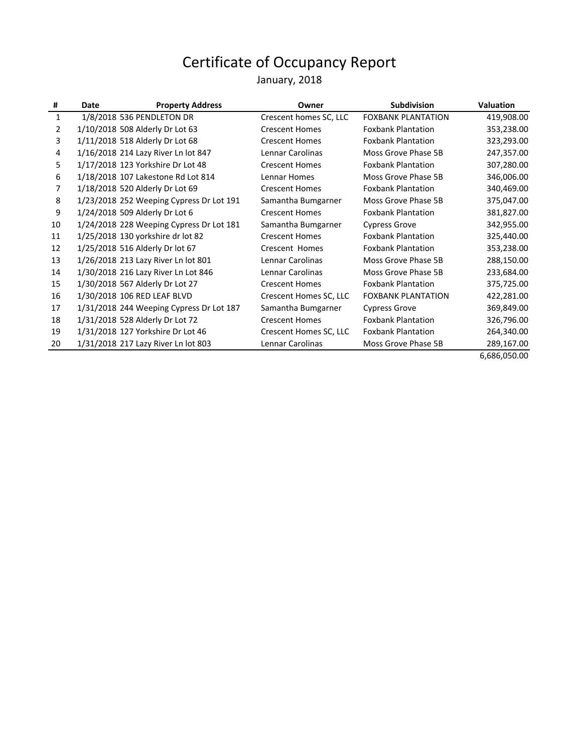#### January, 2018

| #  | Date | <b>Property Address</b>                  | Owner                  | <b>Subdivision</b>        | <b>Valuation</b>  |
|----|------|------------------------------------------|------------------------|---------------------------|-------------------|
| 1  |      | 1/8/2018 536 PENDLETON DR                | Crescent homes SC, LLC | <b>FOXBANK PLANTATION</b> | 419,908.00        |
| 2  |      | 1/10/2018 508 Alderly Dr Lot 63          | <b>Crescent Homes</b>  | <b>Foxbank Plantation</b> | 353,238.00        |
| 3  |      | 1/11/2018 518 Alderly Dr Lot 68          | <b>Crescent Homes</b>  | <b>Foxbank Plantation</b> | 323,293.00        |
| 4  |      | 1/16/2018 214 Lazy River Ln lot 847      | Lennar Carolinas       | Moss Grove Phase 5B       | 247,357.00        |
| 5. |      | 1/17/2018 123 Yorkshire Dr Lot 48        | <b>Crescent Homes</b>  | <b>Foxbank Plantation</b> | 307,280.00        |
| 6  |      | 1/18/2018 107 Lakestone Rd Lot 814       | Lennar Homes           | Moss Grove Phase 5B       | 346,006.00        |
| 7  |      | 1/18/2018 520 Alderly Dr Lot 69          | <b>Crescent Homes</b>  | <b>Foxbank Plantation</b> | 340,469.00        |
| 8  |      | 1/23/2018 252 Weeping Cypress Dr Lot 191 | Samantha Bumgarner     | Moss Grove Phase 5B       | 375,047.00        |
| 9  |      | 1/24/2018 509 Alderly Dr Lot 6           | <b>Crescent Homes</b>  | <b>Foxbank Plantation</b> | 381,827.00        |
| 10 |      | 1/24/2018 228 Weeping Cypress Dr Lot 181 | Samantha Bumgarner     | <b>Cypress Grove</b>      | 342,955.00        |
| 11 |      | 1/25/2018 130 yorkshire dr lot 82        | <b>Crescent Homes</b>  | <b>Foxbank Plantation</b> | 325,440.00        |
| 12 |      | 1/25/2018 516 Alderly Dr lot 67          | Crescent Homes         | <b>Foxbank Plantation</b> | 353,238.00        |
| 13 |      | 1/26/2018 213 Lazy River Ln lot 801      | Lennar Carolinas       | Moss Grove Phase 5B       | 288,150.00        |
| 14 |      | 1/30/2018 216 Lazy River Ln Lot 846      | Lennar Carolinas       | Moss Grove Phase 5B       | 233,684.00        |
| 15 |      | 1/30/2018 567 Alderly Dr Lot 27          | <b>Crescent Homes</b>  | <b>Foxbank Plantation</b> | 375,725.00        |
| 16 |      | 1/30/2018 106 RED LEAF BLVD              | Crescent Homes SC, LLC | <b>FOXBANK PLANTATION</b> | 422,281.00        |
| 17 |      | 1/31/2018 244 Weeping Cypress Dr Lot 187 | Samantha Bumgarner     | <b>Cypress Grove</b>      | 369,849.00        |
| 18 |      | 1/31/2018 528 Alderly Dr Lot 72          | <b>Crescent Homes</b>  | <b>Foxbank Plantation</b> | 326,796.00        |
| 19 |      | 1/31/2018 127 Yorkshire Dr Lot 46        | Crescent Homes SC, LLC | <b>Foxbank Plantation</b> | 264,340.00        |
| 20 |      | 1/31/2018 217 Lazy River Ln lot 803      | Lennar Carolinas       | Moss Grove Phase 5B       | 289,167.00        |
|    |      |                                          |                        |                           | $\sim$ coc oro oo |

6,686,050.00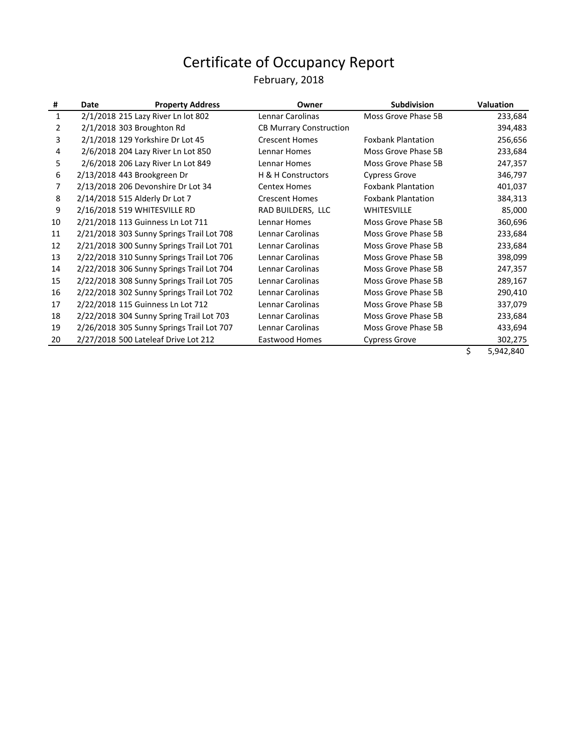#### February, 2018

| #            | Date | <b>Property Address</b>                   | Owner                          | <b>Subdivision</b>        | <b>Valuation</b> |
|--------------|------|-------------------------------------------|--------------------------------|---------------------------|------------------|
| $\mathbf{1}$ |      | 2/1/2018 215 Lazy River Ln lot 802        | Lennar Carolinas               | Moss Grove Phase 5B       | 233,684          |
| 2            |      | 2/1/2018 303 Broughton Rd                 | <b>CB Murrary Construction</b> |                           | 394,483          |
| 3            |      | 2/1/2018 129 Yorkshire Dr Lot 45          | <b>Crescent Homes</b>          | <b>Foxbank Plantation</b> | 256,656          |
| 4            |      | 2/6/2018 204 Lazy River Ln Lot 850        | Lennar Homes                   | Moss Grove Phase 5B       | 233,684          |
| 5.           |      | 2/6/2018 206 Lazy River Ln Lot 849        | Lennar Homes                   | Moss Grove Phase 5B       | 247,357          |
| 6            |      | 2/13/2018 443 Brookgreen Dr               | H & H Constructors             | <b>Cypress Grove</b>      | 346,797          |
| 7            |      | 2/13/2018 206 Devonshire Dr Lot 34        | <b>Centex Homes</b>            | <b>Foxbank Plantation</b> | 401,037          |
| 8            |      | 2/14/2018 515 Alderly Dr Lot 7            | <b>Crescent Homes</b>          | <b>Foxbank Plantation</b> | 384,313          |
| 9            |      | 2/16/2018 519 WHITESVILLE RD              | RAD BUILDERS, LLC              | <b>WHITESVILLE</b>        | 85,000           |
| 10           |      | 2/21/2018 113 Guinness Ln Lot 711         | <b>Lennar Homes</b>            | Moss Grove Phase 5B       | 360,696          |
| 11           |      | 2/21/2018 303 Sunny Springs Trail Lot 708 | Lennar Carolinas               | Moss Grove Phase 5B       | 233,684          |
| 12           |      | 2/21/2018 300 Sunny Springs Trail Lot 701 | Lennar Carolinas               | Moss Grove Phase 5B       | 233,684          |
| 13           |      | 2/22/2018 310 Sunny Springs Trail Lot 706 | Lennar Carolinas               | Moss Grove Phase 5B       | 398,099          |
| 14           |      | 2/22/2018 306 Sunny Springs Trail Lot 704 | Lennar Carolinas               | Moss Grove Phase 5B       | 247,357          |
| 15           |      | 2/22/2018 308 Sunny Springs Trail Lot 705 | Lennar Carolinas               | Moss Grove Phase 5B       | 289,167          |
| 16           |      | 2/22/2018 302 Sunny Springs Trail Lot 702 | Lennar Carolinas               | Moss Grove Phase 5B       | 290,410          |
| 17           |      | 2/22/2018 115 Guinness Ln Lot 712         | Lennar Carolinas               | Moss Grove Phase 5B       | 337,079          |
| 18           |      | 2/22/2018 304 Sunny Spring Trail Lot 703  | Lennar Carolinas               | Moss Grove Phase 5B       | 233,684          |
| 19           |      | 2/26/2018 305 Sunny Springs Trail Lot 707 | Lennar Carolinas               | Moss Grove Phase 5B       | 433,694          |
| 20           |      | 2/27/2018 500 Lateleaf Drive Lot 212      | Eastwood Homes                 | <b>Cypress Grove</b>      | 302,275          |
|              |      |                                           |                                |                           |                  |

 $$ 5,942,840$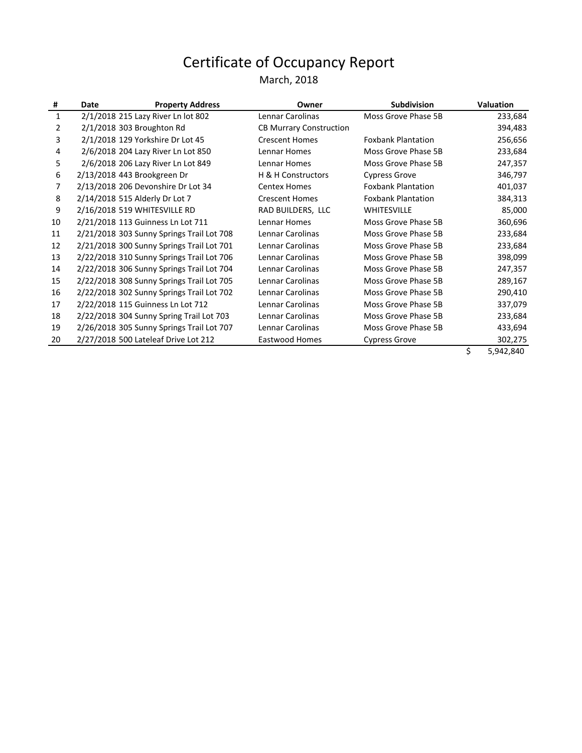#### March, 2018

| #  | Date | <b>Property Address</b>                   | Owner                          | <b>Subdivision</b>        | <b>Valuation</b> |
|----|------|-------------------------------------------|--------------------------------|---------------------------|------------------|
| 1  |      | 2/1/2018 215 Lazy River Ln lot 802        | Lennar Carolinas               | Moss Grove Phase 5B       | 233,684          |
| 2  |      | 2/1/2018 303 Broughton Rd                 | <b>CB Murrary Construction</b> |                           | 394,483          |
| 3  |      | 2/1/2018 129 Yorkshire Dr Lot 45          | <b>Crescent Homes</b>          | <b>Foxbank Plantation</b> | 256,656          |
| 4  |      | 2/6/2018 204 Lazy River Ln Lot 850        | Lennar Homes                   | Moss Grove Phase 5B       | 233,684          |
| 5. |      | 2/6/2018 206 Lazy River Ln Lot 849        | Lennar Homes                   | Moss Grove Phase 5B       | 247,357          |
| 6  |      | 2/13/2018 443 Brookgreen Dr               | H & H Constructors             | <b>Cypress Grove</b>      | 346,797          |
| 7  |      | 2/13/2018 206 Devonshire Dr Lot 34        | <b>Centex Homes</b>            | <b>Foxbank Plantation</b> | 401,037          |
| 8  |      | 2/14/2018 515 Alderly Dr Lot 7            | <b>Crescent Homes</b>          | <b>Foxbank Plantation</b> | 384,313          |
| 9  |      | 2/16/2018 519 WHITESVILLE RD              | RAD BUILDERS, LLC              | <b>WHITESVILLE</b>        | 85,000           |
| 10 |      | 2/21/2018 113 Guinness Ln Lot 711         | Lennar Homes                   | Moss Grove Phase 5B       | 360,696          |
| 11 |      | 2/21/2018 303 Sunny Springs Trail Lot 708 | Lennar Carolinas               | Moss Grove Phase 5B       | 233,684          |
| 12 |      | 2/21/2018 300 Sunny Springs Trail Lot 701 | Lennar Carolinas               | Moss Grove Phase 5B       | 233,684          |
| 13 |      | 2/22/2018 310 Sunny Springs Trail Lot 706 | Lennar Carolinas               | Moss Grove Phase 5B       | 398,099          |
| 14 |      | 2/22/2018 306 Sunny Springs Trail Lot 704 | Lennar Carolinas               | Moss Grove Phase 5B       | 247,357          |
| 15 |      | 2/22/2018 308 Sunny Springs Trail Lot 705 | Lennar Carolinas               | Moss Grove Phase 5B       | 289,167          |
| 16 |      | 2/22/2018 302 Sunny Springs Trail Lot 702 | Lennar Carolinas               | Moss Grove Phase 5B       | 290,410          |
| 17 |      | 2/22/2018 115 Guinness Ln Lot 712         | Lennar Carolinas               | Moss Grove Phase 5B       | 337,079          |
| 18 |      | 2/22/2018 304 Sunny Spring Trail Lot 703  | Lennar Carolinas               | Moss Grove Phase 5B       | 233,684          |
| 19 |      | 2/26/2018 305 Sunny Springs Trail Lot 707 | Lennar Carolinas               | Moss Grove Phase 5B       | 433,694          |
| 20 |      | 2/27/2018 500 Lateleaf Drive Lot 212      | Eastwood Homes                 | <b>Cypress Grove</b>      | 302,275          |

 $$ 5,942,840$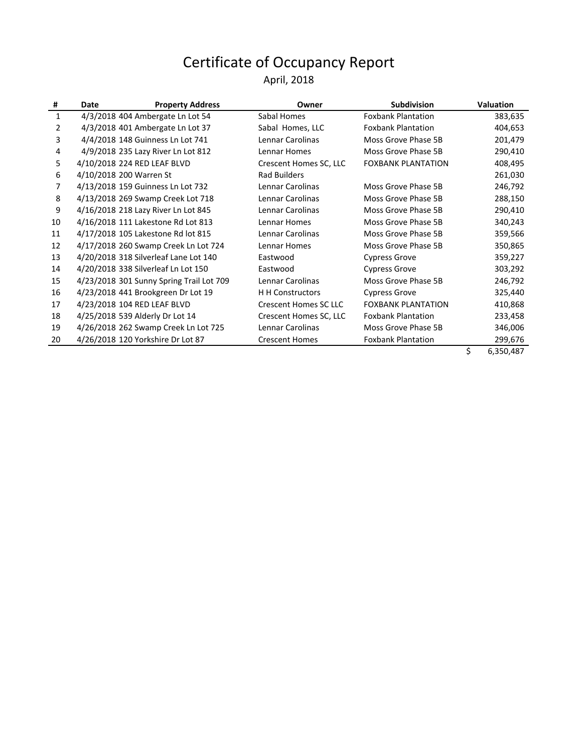#### April, 2018

| #  | Date | <b>Property Address</b>                  | Owner                        | <b>Subdivision</b>        | <b>Valuation</b> |
|----|------|------------------------------------------|------------------------------|---------------------------|------------------|
| 1  |      | 4/3/2018 404 Ambergate Ln Lot 54         | Sabal Homes                  | <b>Foxbank Plantation</b> | 383,635          |
| 2  |      | 4/3/2018 401 Ambergate Ln Lot 37         | Sabal Homes, LLC             | <b>Foxbank Plantation</b> | 404,653          |
| 3  |      | 4/4/2018 148 Guinness Ln Lot 741         | Lennar Carolinas             | Moss Grove Phase 5B       | 201,479          |
| 4  |      | 4/9/2018 235 Lazy River Ln Lot 812       | Lennar Homes                 | Moss Grove Phase 5B       | 290,410          |
| 5. |      | 4/10/2018 224 RED LEAF BLVD              | Crescent Homes SC, LLC       | <b>FOXBANK PLANTATION</b> | 408,495          |
| 6  |      | 4/10/2018 200 Warren St                  | <b>Rad Builders</b>          |                           | 261,030          |
| 7  |      | 4/13/2018 159 Guinness Ln Lot 732        | Lennar Carolinas             | Moss Grove Phase 5B       | 246,792          |
| 8  |      | 4/13/2018 269 Swamp Creek Lot 718        | Lennar Carolinas             | Moss Grove Phase 5B       | 288,150          |
| 9  |      | 4/16/2018 218 Lazy River Ln Lot 845      | Lennar Carolinas             | Moss Grove Phase 5B       | 290,410          |
| 10 |      | 4/16/2018 111 Lakestone Rd Lot 813       | Lennar Homes                 | Moss Grove Phase 5B       | 340,243          |
| 11 |      | 4/17/2018 105 Lakestone Rd lot 815       | Lennar Carolinas             | Moss Grove Phase 5B       | 359,566          |
| 12 |      | 4/17/2018 260 Swamp Creek Ln Lot 724     | Lennar Homes                 | Moss Grove Phase 5B       | 350,865          |
| 13 |      | 4/20/2018 318 Silverleaf Lane Lot 140    | Eastwood                     | <b>Cypress Grove</b>      | 359,227          |
| 14 |      | 4/20/2018 338 Silverleaf Ln Lot 150      | Eastwood                     | Cypress Grove             | 303,292          |
| 15 |      | 4/23/2018 301 Sunny Spring Trail Lot 709 | Lennar Carolinas             | Moss Grove Phase 5B       | 246,792          |
| 16 |      | 4/23/2018 441 Brookgreen Dr Lot 19       | <b>H</b> H Constructors      | <b>Cypress Grove</b>      | 325,440          |
| 17 |      | 4/23/2018 104 RED LEAF BLVD              | <b>Crescent Homes SC LLC</b> | <b>FOXBANK PLANTATION</b> | 410,868          |
| 18 |      | 4/25/2018 539 Alderly Dr Lot 14          | Crescent Homes SC, LLC       | <b>Foxbank Plantation</b> | 233,458          |
| 19 |      | 4/26/2018 262 Swamp Creek Ln Lot 725     | Lennar Carolinas             | Moss Grove Phase 5B       | 346,006          |
| 20 |      | 4/26/2018 120 Yorkshire Dr Lot 87        | <b>Crescent Homes</b>        | <b>Foxbank Plantation</b> | 299,676          |

 $$ 6,350,487$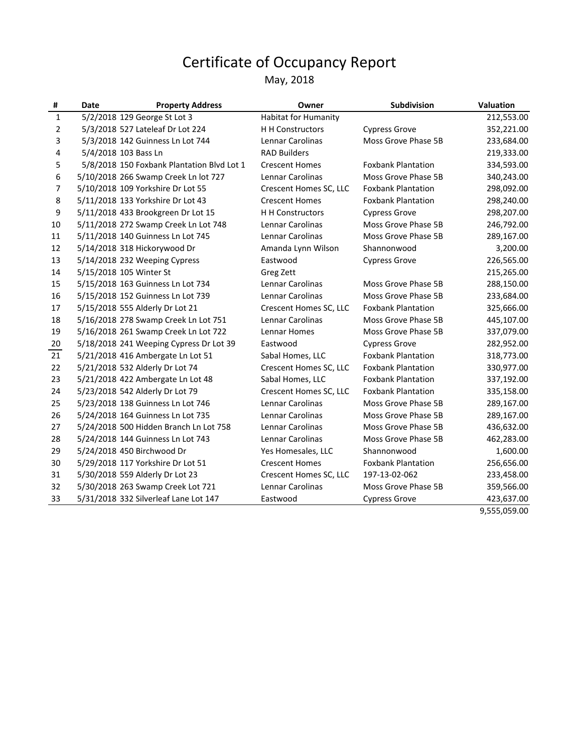#### May, 2018

| #  | Date | <b>Property Address</b>                    | Owner                       | <b>Subdivision</b>        | <b>Valuation</b> |
|----|------|--------------------------------------------|-----------------------------|---------------------------|------------------|
| 1  |      | 5/2/2018 129 George St Lot 3               | <b>Habitat for Humanity</b> |                           | 212,553.00       |
| 2  |      | 5/3/2018 527 Lateleaf Dr Lot 224           | H H Constructors            | <b>Cypress Grove</b>      | 352,221.00       |
| 3  |      | 5/3/2018 142 Guinness Ln Lot 744           | Lennar Carolinas            | Moss Grove Phase 5B       | 233,684.00       |
| 4  |      | 5/4/2018 103 Bass Ln                       | <b>RAD Builders</b>         |                           | 219,333.00       |
| 5  |      | 5/8/2018 150 Foxbank Plantation Blvd Lot 1 | <b>Crescent Homes</b>       | <b>Foxbank Plantation</b> | 334,593.00       |
| 6  |      | 5/10/2018 266 Swamp Creek Ln lot 727       | Lennar Carolinas            | Moss Grove Phase 5B       | 340,243.00       |
| 7  |      | 5/10/2018 109 Yorkshire Dr Lot 55          | Crescent Homes SC, LLC      | <b>Foxbank Plantation</b> | 298,092.00       |
| 8  |      | 5/11/2018 133 Yorkshire Dr Lot 43          | <b>Crescent Homes</b>       | <b>Foxbank Plantation</b> | 298,240.00       |
| 9  |      | 5/11/2018 433 Brookgreen Dr Lot 15         | <b>H H Constructors</b>     | <b>Cypress Grove</b>      | 298,207.00       |
| 10 |      | 5/11/2018 272 Swamp Creek Ln Lot 748       | Lennar Carolinas            | Moss Grove Phase 5B       | 246,792.00       |
| 11 |      | 5/11/2018 140 Guinness Ln Lot 745          | Lennar Carolinas            | Moss Grove Phase 5B       | 289,167.00       |
| 12 |      | 5/14/2018 318 Hickorywood Dr               | Amanda Lynn Wilson          | Shannonwood               | 3,200.00         |
| 13 |      | 5/14/2018 232 Weeping Cypress              | Eastwood                    | <b>Cypress Grove</b>      | 226,565.00       |
| 14 |      | 5/15/2018 105 Winter St                    | Greg Zett                   |                           | 215,265.00       |
| 15 |      | 5/15/2018 163 Guinness Ln Lot 734          | Lennar Carolinas            | Moss Grove Phase 5B       | 288,150.00       |
| 16 |      | 5/15/2018 152 Guinness Ln Lot 739          | Lennar Carolinas            | Moss Grove Phase 5B       | 233,684.00       |
| 17 |      | 5/15/2018 555 Alderly Dr Lot 21            | Crescent Homes SC, LLC      | <b>Foxbank Plantation</b> | 325,666.00       |
| 18 |      | 5/16/2018 278 Swamp Creek Ln Lot 751       | Lennar Carolinas            | Moss Grove Phase 5B       | 445,107.00       |
| 19 |      | 5/16/2018 261 Swamp Creek Ln Lot 722       | <b>Lennar Homes</b>         | Moss Grove Phase 5B       | 337,079.00       |
| 20 |      | 5/18/2018 241 Weeping Cypress Dr Lot 39    | Eastwood                    | <b>Cypress Grove</b>      | 282,952.00       |
| 21 |      | 5/21/2018 416 Ambergate Ln Lot 51          | Sabal Homes, LLC            | <b>Foxbank Plantation</b> | 318,773.00       |
| 22 |      | 5/21/2018 532 Alderly Dr Lot 74            | Crescent Homes SC, LLC      | <b>Foxbank Plantation</b> | 330,977.00       |
| 23 |      | 5/21/2018 422 Ambergate Ln Lot 48          | Sabal Homes, LLC            | <b>Foxbank Plantation</b> | 337,192.00       |
| 24 |      | 5/23/2018 542 Alderly Dr Lot 79            | Crescent Homes SC, LLC      | <b>Foxbank Plantation</b> | 335,158.00       |
| 25 |      | 5/23/2018 138 Guinness Ln Lot 746          | <b>Lennar Carolinas</b>     | Moss Grove Phase 5B       | 289,167.00       |
| 26 |      | 5/24/2018 164 Guinness Ln Lot 735          | Lennar Carolinas            | Moss Grove Phase 5B       | 289,167.00       |
| 27 |      | 5/24/2018 500 Hidden Branch Ln Lot 758     | Lennar Carolinas            | Moss Grove Phase 5B       | 436,632.00       |
| 28 |      | 5/24/2018 144 Guinness Ln Lot 743          | Lennar Carolinas            | Moss Grove Phase 5B       | 462,283.00       |
| 29 |      | 5/24/2018 450 Birchwood Dr                 | Yes Homesales, LLC          | Shannonwood               | 1,600.00         |
| 30 |      | 5/29/2018 117 Yorkshire Dr Lot 51          | <b>Crescent Homes</b>       | <b>Foxbank Plantation</b> | 256,656.00       |
| 31 |      | 5/30/2018 559 Alderly Dr Lot 23            | Crescent Homes SC, LLC      | 197-13-02-062             | 233,458.00       |
| 32 |      | 5/30/2018 263 Swamp Creek Lot 721          | <b>Lennar Carolinas</b>     | Moss Grove Phase 5B       | 359,566.00       |
| 33 |      | 5/31/2018 332 Silverleaf Lane Lot 147      | Eastwood                    | <b>Cypress Grove</b>      | 423,637.00       |

9,555,059.00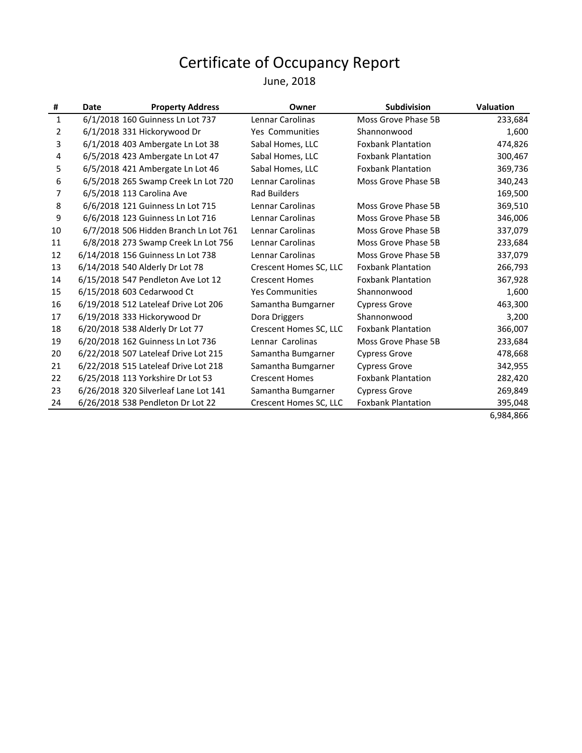#### June, 2018

| #  | Date | <b>Property Address</b>               | Owner                  | <b>Subdivision</b>        | <b>Valuation</b> |
|----|------|---------------------------------------|------------------------|---------------------------|------------------|
| 1  |      | 6/1/2018 160 Guinness Ln Lot 737      | Lennar Carolinas       | Moss Grove Phase 5B       | 233,684          |
| 2  |      | 6/1/2018 331 Hickorywood Dr           | <b>Yes Communities</b> | Shannonwood               | 1,600            |
| 3  |      | 6/1/2018 403 Ambergate Ln Lot 38      | Sabal Homes, LLC       | <b>Foxbank Plantation</b> | 474,826          |
| 4  |      | 6/5/2018 423 Ambergate Ln Lot 47      | Sabal Homes, LLC       | <b>Foxbank Plantation</b> | 300,467          |
| 5  |      | 6/5/2018 421 Ambergate Ln Lot 46      | Sabal Homes, LLC       | <b>Foxbank Plantation</b> | 369,736          |
| 6  |      | 6/5/2018 265 Swamp Creek Ln Lot 720   | Lennar Carolinas       | Moss Grove Phase 5B       | 340,243          |
| 7  |      | 6/5/2018 113 Carolina Ave             | <b>Rad Builders</b>    |                           | 169,500          |
| 8  |      | 6/6/2018 121 Guinness Ln Lot 715      | Lennar Carolinas       | Moss Grove Phase 5B       | 369,510          |
| 9  |      | 6/6/2018 123 Guinness Ln Lot 716      | Lennar Carolinas       | Moss Grove Phase 5B       | 346,006          |
| 10 |      | 6/7/2018 506 Hidden Branch Ln Lot 761 | Lennar Carolinas       | Moss Grove Phase 5B       | 337,079          |
| 11 |      | 6/8/2018 273 Swamp Creek Ln Lot 756   | Lennar Carolinas       | Moss Grove Phase 5B       | 233,684          |
| 12 |      | 6/14/2018 156 Guinness Ln Lot 738     | Lennar Carolinas       | Moss Grove Phase 5B       | 337,079          |
| 13 |      | 6/14/2018 540 Alderly Dr Lot 78       | Crescent Homes SC, LLC | <b>Foxbank Plantation</b> | 266,793          |
| 14 |      | 6/15/2018 547 Pendleton Ave Lot 12    | <b>Crescent Homes</b>  | <b>Foxbank Plantation</b> | 367,928          |
| 15 |      | 6/15/2018 603 Cedarwood Ct            | <b>Yes Communities</b> | Shannonwood               | 1,600            |
| 16 |      | 6/19/2018 512 Lateleaf Drive Lot 206  | Samantha Bumgarner     | <b>Cypress Grove</b>      | 463,300          |
| 17 |      | 6/19/2018 333 Hickorywood Dr          | Dora Driggers          | Shannonwood               | 3,200            |
| 18 |      | 6/20/2018 538 Alderly Dr Lot 77       | Crescent Homes SC, LLC | <b>Foxbank Plantation</b> | 366,007          |
| 19 |      | 6/20/2018 162 Guinness Ln Lot 736     | Lennar Carolinas       | Moss Grove Phase 5B       | 233,684          |
| 20 |      | 6/22/2018 507 Lateleaf Drive Lot 215  | Samantha Bumgarner     | <b>Cypress Grove</b>      | 478,668          |
| 21 |      | 6/22/2018 515 Lateleaf Drive Lot 218  | Samantha Bumgarner     | <b>Cypress Grove</b>      | 342,955          |
| 22 |      | 6/25/2018 113 Yorkshire Dr Lot 53     | <b>Crescent Homes</b>  | <b>Foxbank Plantation</b> | 282,420          |
| 23 |      | 6/26/2018 320 Silverleaf Lane Lot 141 | Samantha Bumgarner     | <b>Cypress Grove</b>      | 269,849          |
| 24 |      | 6/26/2018 538 Pendleton Dr Lot 22     | Crescent Homes SC, LLC | <b>Foxbank Plantation</b> | 395,048          |

6,984,866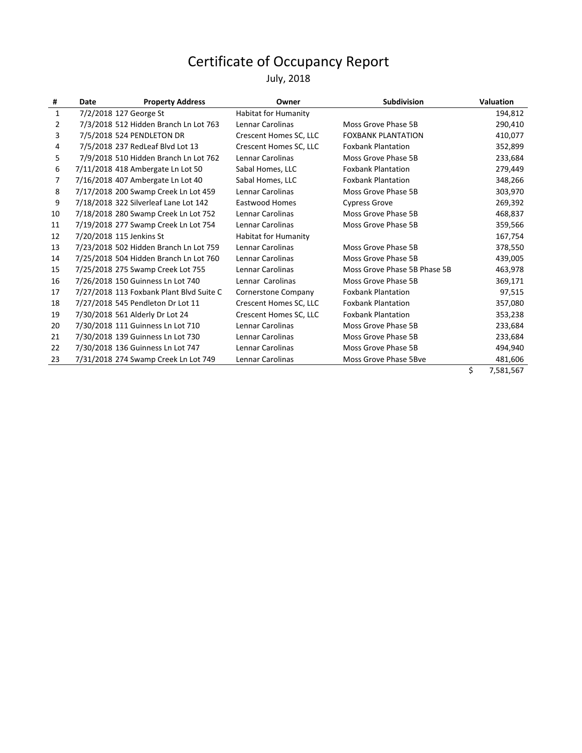#### July, 2018

| $\mathbf{1}$<br>7/2/2018 127 George St<br><b>Habitat for Humanity</b><br>7/3/2018 512 Hidden Branch Ln Lot 763<br>Lennar Carolinas<br>Moss Grove Phase 5B<br>2<br>7/5/2018 524 PENDLETON DR<br>3<br>Crescent Homes SC, LLC<br><b>FOXBANK PLANTATION</b><br>7/5/2018 237 RedLeaf Blvd Lot 13<br>Crescent Homes SC, LLC<br><b>Foxbank Plantation</b><br>4<br>7/9/2018 510 Hidden Branch Ln Lot 762<br>Lennar Carolinas<br>Moss Grove Phase 5B<br>5<br>7/11/2018 418 Ambergate Ln Lot 50<br>Sabal Homes, LLC<br><b>Foxbank Plantation</b><br>6<br>7/16/2018 407 Ambergate Ln Lot 40<br><b>Foxbank Plantation</b><br>Sabal Homes, LLC<br>7<br>7/17/2018 200 Swamp Creek Ln Lot 459<br>8<br>Lennar Carolinas<br>Moss Grove Phase 5B<br>7/18/2018 322 Silverleaf Lane Lot 142<br>9<br><b>Eastwood Homes</b><br><b>Cypress Grove</b><br>7/18/2018 280 Swamp Creek Ln Lot 752<br>Moss Grove Phase 5B<br>Lennar Carolinas<br>10 | <b>Valuation</b> |
|------------------------------------------------------------------------------------------------------------------------------------------------------------------------------------------------------------------------------------------------------------------------------------------------------------------------------------------------------------------------------------------------------------------------------------------------------------------------------------------------------------------------------------------------------------------------------------------------------------------------------------------------------------------------------------------------------------------------------------------------------------------------------------------------------------------------------------------------------------------------------------------------------------------------|------------------|
|                                                                                                                                                                                                                                                                                                                                                                                                                                                                                                                                                                                                                                                                                                                                                                                                                                                                                                                        | 194,812          |
|                                                                                                                                                                                                                                                                                                                                                                                                                                                                                                                                                                                                                                                                                                                                                                                                                                                                                                                        | 290,410          |
|                                                                                                                                                                                                                                                                                                                                                                                                                                                                                                                                                                                                                                                                                                                                                                                                                                                                                                                        | 410,077          |
|                                                                                                                                                                                                                                                                                                                                                                                                                                                                                                                                                                                                                                                                                                                                                                                                                                                                                                                        | 352,899          |
|                                                                                                                                                                                                                                                                                                                                                                                                                                                                                                                                                                                                                                                                                                                                                                                                                                                                                                                        | 233,684          |
|                                                                                                                                                                                                                                                                                                                                                                                                                                                                                                                                                                                                                                                                                                                                                                                                                                                                                                                        | 279,449          |
|                                                                                                                                                                                                                                                                                                                                                                                                                                                                                                                                                                                                                                                                                                                                                                                                                                                                                                                        | 348,266          |
|                                                                                                                                                                                                                                                                                                                                                                                                                                                                                                                                                                                                                                                                                                                                                                                                                                                                                                                        | 303,970          |
|                                                                                                                                                                                                                                                                                                                                                                                                                                                                                                                                                                                                                                                                                                                                                                                                                                                                                                                        | 269,392          |
|                                                                                                                                                                                                                                                                                                                                                                                                                                                                                                                                                                                                                                                                                                                                                                                                                                                                                                                        | 468,837          |
| 7/19/2018 277 Swamp Creek Ln Lot 754<br>Lennar Carolinas<br>Moss Grove Phase 5B<br>11                                                                                                                                                                                                                                                                                                                                                                                                                                                                                                                                                                                                                                                                                                                                                                                                                                  | 359,566          |
| 7/20/2018 115 Jenkins St<br><b>Habitat for Humanity</b><br>12                                                                                                                                                                                                                                                                                                                                                                                                                                                                                                                                                                                                                                                                                                                                                                                                                                                          | 167,754          |
| 7/23/2018 502 Hidden Branch Ln Lot 759<br>Lennar Carolinas<br>Moss Grove Phase 5B<br>13                                                                                                                                                                                                                                                                                                                                                                                                                                                                                                                                                                                                                                                                                                                                                                                                                                | 378,550          |
| 7/25/2018 504 Hidden Branch Ln Lot 760<br>Lennar Carolinas<br>Moss Grove Phase 5B<br>14                                                                                                                                                                                                                                                                                                                                                                                                                                                                                                                                                                                                                                                                                                                                                                                                                                | 439,005          |
| 7/25/2018 275 Swamp Creek Lot 755<br>Lennar Carolinas<br>Moss Grove Phase 5B Phase 5B<br>15                                                                                                                                                                                                                                                                                                                                                                                                                                                                                                                                                                                                                                                                                                                                                                                                                            | 463,978          |
| 7/26/2018 150 Guinness Ln Lot 740<br>Lennar Carolinas<br>Moss Grove Phase 5B<br>16                                                                                                                                                                                                                                                                                                                                                                                                                                                                                                                                                                                                                                                                                                                                                                                                                                     | 369,171          |
| 7/27/2018 113 Foxbank Plant Blvd Suite C<br>Cornerstone Company<br><b>Foxbank Plantation</b><br>17                                                                                                                                                                                                                                                                                                                                                                                                                                                                                                                                                                                                                                                                                                                                                                                                                     | 97,515           |
| 7/27/2018 545 Pendleton Dr Lot 11<br><b>Foxbank Plantation</b><br>Crescent Homes SC, LLC<br>18                                                                                                                                                                                                                                                                                                                                                                                                                                                                                                                                                                                                                                                                                                                                                                                                                         | 357,080          |
| 7/30/2018 561 Alderly Dr Lot 24<br>Crescent Homes SC, LLC<br><b>Foxbank Plantation</b><br>19                                                                                                                                                                                                                                                                                                                                                                                                                                                                                                                                                                                                                                                                                                                                                                                                                           | 353,238          |
| 7/30/2018 111 Guinness Ln Lot 710<br>Lennar Carolinas<br>Moss Grove Phase 5B<br>20                                                                                                                                                                                                                                                                                                                                                                                                                                                                                                                                                                                                                                                                                                                                                                                                                                     | 233,684          |
| 7/30/2018 139 Guinness Ln Lot 730<br>Lennar Carolinas<br>Moss Grove Phase 5B<br>21                                                                                                                                                                                                                                                                                                                                                                                                                                                                                                                                                                                                                                                                                                                                                                                                                                     | 233,684          |
| 7/30/2018 136 Guinness Ln Lot 747<br>Lennar Carolinas<br>Moss Grove Phase 5B<br>22                                                                                                                                                                                                                                                                                                                                                                                                                                                                                                                                                                                                                                                                                                                                                                                                                                     | 494,940          |
| 7/31/2018 274 Swamp Creek Ln Lot 749<br>Lennar Carolinas<br>Moss Grove Phase 5Bve<br>23                                                                                                                                                                                                                                                                                                                                                                                                                                                                                                                                                                                                                                                                                                                                                                                                                                | 481,606          |

\$ 7,581,567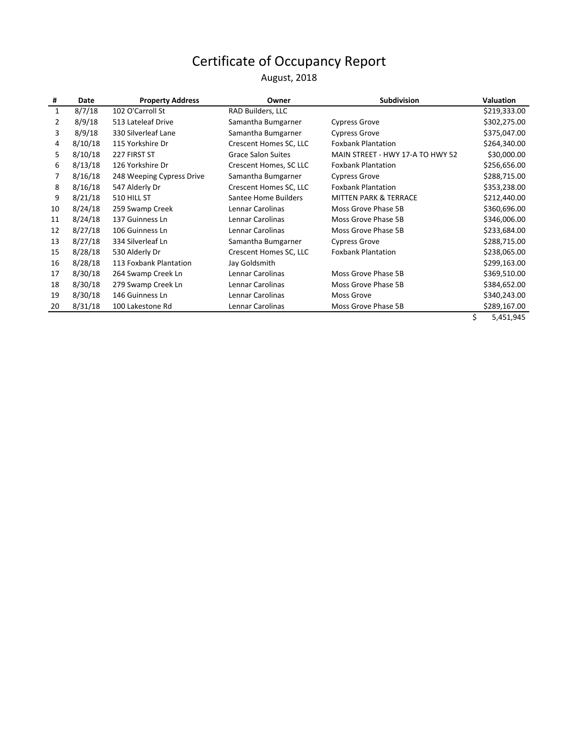August, 2018

| #            | Date    | <b>Property Address</b>   | Owner                     | <b>Subdivision</b>               | <b>Valuation</b> |
|--------------|---------|---------------------------|---------------------------|----------------------------------|------------------|
| $\mathbf{1}$ | 8/7/18  | 102 O'Carroll St          | RAD Builders, LLC         |                                  | \$219,333.00     |
| 2            | 8/9/18  | 513 Lateleaf Drive        | Samantha Bumgarner        | <b>Cypress Grove</b>             | \$302,275.00     |
| 3            | 8/9/18  | 330 Silverleaf Lane       | Samantha Bumgarner        | <b>Cypress Grove</b>             | \$375,047.00     |
| 4            | 8/10/18 | 115 Yorkshire Dr          | Crescent Homes SC, LLC    | <b>Foxbank Plantation</b>        | \$264,340.00     |
| 5            | 8/10/18 | 227 FIRST ST              | <b>Grace Salon Suites</b> | MAIN STREET - HWY 17-A TO HWY 52 | \$30,000.00      |
| 6            | 8/13/18 | 126 Yorkshire Dr          | Crescent Homes, SC LLC    | <b>Foxbank Plantation</b>        | \$256,656.00     |
|              | 8/16/18 | 248 Weeping Cypress Drive | Samantha Bumgarner        | <b>Cypress Grove</b>             | \$288,715.00     |
| 8            | 8/16/18 | 547 Alderly Dr            | Crescent Homes SC, LLC    | <b>Foxbank Plantation</b>        | \$353,238.00     |
| 9            | 8/21/18 | 510 HILL ST               | Santee Home Builders      | <b>MITTEN PARK &amp; TERRACE</b> | \$212,440.00     |
| 10           | 8/24/18 | 259 Swamp Creek           | Lennar Carolinas          | Moss Grove Phase 5B              | \$360,696.00     |
| 11           | 8/24/18 | 137 Guinness Ln           | Lennar Carolinas          | Moss Grove Phase 5B              | \$346,006.00     |
| 12           | 8/27/18 | 106 Guinness Ln           | Lennar Carolinas          | Moss Grove Phase 5B              | \$233,684.00     |
| 13           | 8/27/18 | 334 Silverleaf Ln         | Samantha Bumgarner        | <b>Cypress Grove</b>             | \$288,715.00     |
| 15           | 8/28/18 | 530 Alderly Dr            | Crescent Homes SC, LLC    | <b>Foxbank Plantation</b>        | \$238,065.00     |
| 16           | 8/28/18 | 113 Foxbank Plantation    | Jay Goldsmith             |                                  | \$299,163.00     |
| 17           | 8/30/18 | 264 Swamp Creek Ln        | Lennar Carolinas          | Moss Grove Phase 5B              | \$369,510.00     |
| 18           | 8/30/18 | 279 Swamp Creek Ln        | Lennar Carolinas          | Moss Grove Phase 5B              | \$384,652.00     |
| 19           | 8/30/18 | 146 Guinness Ln           | Lennar Carolinas          | Moss Grove                       | \$340,243.00     |
| 20           | 8/31/18 | 100 Lakestone Rd          | Lennar Carolinas          | Moss Grove Phase 5B              | \$289,167.00     |
|              |         |                           |                           |                                  | ¢.<br>5 451 945  |

\$ 5,451,945